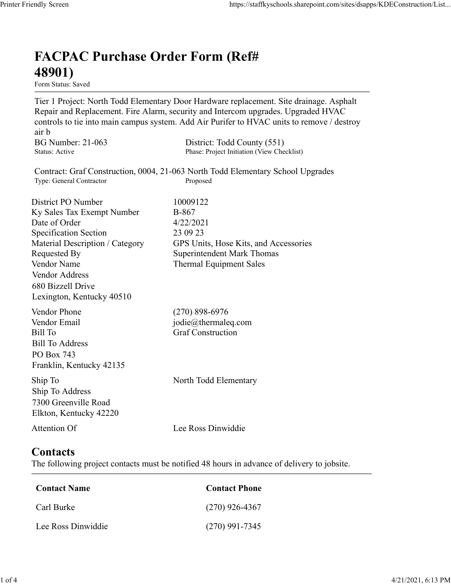## FACPAC Purchase Order Form (Ref# 48901)

Form Status: Saved

Tier 1 Project: North Todd Elementary Door Hardware replacement. Site drainage. Asphalt Repair and Replacement. Fire Alarm, security and Intercom upgrades. Upgraded HVAC controls to tie into main campus system. Add Air Purifer to HVAC units to remove / destroy air b https://staffkyschools.sharepoint.com/sites/dsapps/KDEConstructic<br> **FACPAC Purchase Order Form (Ref#**<br>
Form Status: Saved<br>
Tier 1 Project: North Todd Elementary Door Hardware replacement. Site drainage. Asphalt<br>
Repair and https://staffkyschools.sharepoint.com/sites/dsapps/KDEConstructic<br> **FACPAC Purchase Order Form (Ref#**<br>
H89011)<br>
Tier 1 Project: North Todd Elementary Door Hardware replacement. Site drainage. Asphalt<br>
Repair and Replacemen https://staffkyschools.sharepoint.com/sites/dsarps/KDFConstructic<br> **FACPAC Purchase Order Form (Ref#**<br>
Form Status: Saved<br>
Form Status: Saved<br>
Terp 1 Project: North Todd Elementary Door Hardware replacement. Site drainage. FACPAC Purchase Order Form (Ref#<br>
48901)<br>
Form Status: Saved<br>
Tier 1 Project: North Todd Elementary Door Hardware replacement. Site drainage. Asphalt<br>
Repair and Replacement. Fire Alarm, security and Intercom upgrades. Upg

Contract: Graf Construction, 0004, 21-063 North Todd Elementary School Upgrades

**FACPAC Purchase Order Form (Ref#**<br> **48901)**<br> **Eom Stans:** Saved<br> **Eom Stans:** Saved<br> **Repair and Replacement. Fire Alarm, security and Intercom upgrades. Upgraded HVAC<br>
controls to tie into main campus system. Add Air Pu FACPAC Purchase Order Form (Ref#**<br> **48901)**<br>
Form Status: Saved<br>
Tier 1 Project: North Todd Elementary Door Hardware replacement. Site drainage. Asphalt<br>
Repair and Replacement. Fire Alarm, security and Intercoron upgrade **FACPAC Purchase Order Form (Ref#** $\bf{48901}$ <br>
Form Status: Saved<br>
Tier 1 Project: North Todd Elementary Door Hardware replacement. Site drainage. Asphalt<br>
Repair and Replacement. Fire Alarm, security and Intercom upgrade **FACPAC Purchase Order Form (Ref#**<br> **489011)**<br>
Form States Saved<br>
Term Project: North Todd Elementary Door Hardware replacement. Site drainage. Asphalt<br>
Teapair and Replacement. Fire Alarm, security and Intercom upgrades. **48901)**<br>
Form Status: Saved<br>
Tier 1 Project: North Todd Elementary Door Hardware replacement. Site drainage. Asphalt<br>
Repair and Replacement. Fire Alarm, security and Intercom upgrades. Upgraded HVAC<br>
econtrols to tie in **From States:**<br> **From States:**<br> **From States:**<br> **From States:**<br> **From States:**<br> **Repair and Replacement.** Fire Alarm, security and Intercom upgrades. Upgraded HVAC<br> **Repair and Replacement.** Fire Alarm, security and Interc Vendor Address 680 Bizzell Drive Lexington, Kentucky 40510 controls to the into main campus system. Add Air Puriter to HVAC units to remove / destroy<br>
air b<br>
air b<br>
BG Number: 21-063 District: Todd County (551)<br>
Status: Active<br>
Contract: Graf Construction, 0004, 21-063 North Todd ar b<br>
BG Number: 21-063 District: Todd County (551)<br>
Status: Active Phase: Project Initiation (View Checklist)<br>
Status: Active Phase: Project Initiation (View Checklist)<br>
Tyc: General Connector<br>
District PO Number<br>
Distric Bill Number: 21-063<br>
Bill Number<br>
Bill Status: Active<br>
Status: Active<br>
Contract: Graf Construction, 0004, 21-063 North Todd Elementary School Upgrades<br>
Type: General Contractor<br>
District PO Number<br>
District PO Number<br>
Dist Bill To Address PO Box 743 Franklin, Kentucky 42135 District PO Number<br>
IS North Todder<br>
Sky Sales Tax Exempt Number<br>
10009122<br>
Date of Order<br>
Specification Section<br>
Secrection<br>
Material Description / Category<br>
CPS Units, Hose Kits, and Accessories<br>
Nendor Address<br>
Nendor A Ship To Address Material Description / Category<br>
Requested By<br>
Requested By<br>
Requested By<br>
Vendor Address<br>
Vendor Address<br>
Vendor Address<br>
Of Bizzell Drive<br>
Lexington, Kentucky 40510<br>
Cendor Phone<br>
(270) 898-6976<br>
Lexington, Kentucky 4051 Example of Phone<br>
Condor Phone<br>
Contact Final<br>
iil To<br>
Endor Email<br>
iil To<br>
Contact Construction<br>
Contact Contact Contact<br>
In To<br>
Contact Phone<br>
Contact S<br>
2000 Greenville Road<br>
Contact S<br>
the following project contacts mu Formail<br>
Fill To<br>
Fill Burke (Strait Construction<br>
Sull To Address<br>
To Box 743<br>
In p To<br>
To Address<br>
In p To<br>
In p To<br>
In p To<br>
North Todd Elementary<br>
In p To<br>
In p To<br>
In p To<br>
In p To<br>
In p To<br>
In p To<br>
In p To<br>
In p To<br> Sill To Address<br>
Co Box 743<br>
Tranklin, Kentucky 42135<br>
hip To<br>
Tranklin, Kentucky 42135<br>
hip To Address<br>
2000 Greenville Road<br>
2000 Greenville Road<br>
Lee Ross Dinwiddie<br> **Contact Name**<br>
Contact Name<br>
Contact New Carl Burke<br>

7300 Greenville Road Elkton, Kentucky 42220

## **Contacts**

The following project contacts must be notified 48 hours in advance of delivery to jobsite.

| Contact Name       | <b>Contact Phone</b> |  |  |
|--------------------|----------------------|--|--|
| Carl Burke         | $(270)$ 926-4367     |  |  |
| Lee Ross Dinwiddie | $(270)$ 991-7345     |  |  |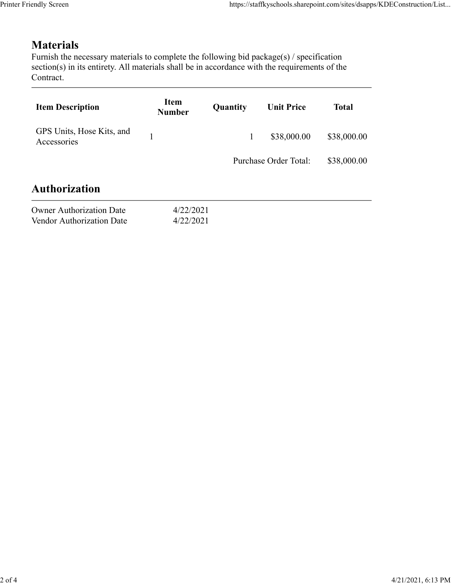## Materials

| endly Screen                                                                                                                                                                                                               |                              |              | https://staffkyschools.sharepoint.com/sites/dsapps/KDEConstruction/List |              |
|----------------------------------------------------------------------------------------------------------------------------------------------------------------------------------------------------------------------------|------------------------------|--------------|-------------------------------------------------------------------------|--------------|
| <b>Materials</b><br>Furnish the necessary materials to complete the following bid package(s) / specification<br>section(s) in its entirety. All materials shall be in accordance with the requirements of the<br>Contract. |                              |              |                                                                         |              |
| <b>Item Description</b>                                                                                                                                                                                                    | <b>Item</b><br><b>Number</b> | Quantity     | <b>Unit Price</b>                                                       | <b>Total</b> |
| GPS Units, Hose Kits, and<br>Accessories                                                                                                                                                                                   | $\mathbf{1}$                 | $\mathbf{1}$ | \$38,000.00                                                             | \$38,000.00  |
|                                                                                                                                                                                                                            |                              |              | Purchase Order Total:                                                   | \$38,000.00  |
| <b>Authorization</b>                                                                                                                                                                                                       |                              |              |                                                                         |              |
| <b>Owner Authorization Date</b><br>Vendor Authorization Date                                                                                                                                                               | 4/22/2021<br>4/22/2021       |              |                                                                         |              |
|                                                                                                                                                                                                                            |                              |              |                                                                         |              |

| <b>Owner Authorization Date</b>  | 4/22/202 |
|----------------------------------|----------|
| <b>Vendor Authorization Date</b> | 4/22/202 |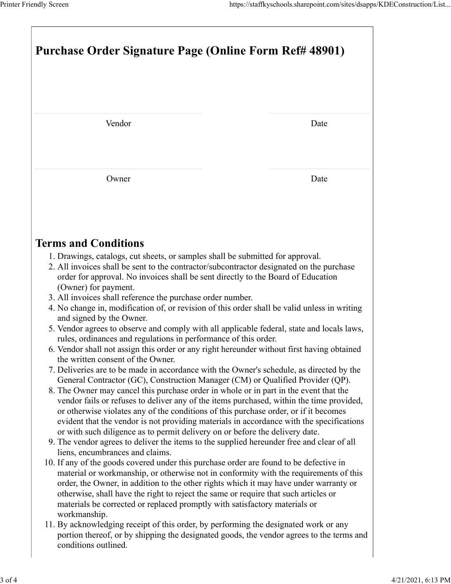| Printer Friendly Screen                                                                                                                                                                                                                                                                                                                                                                                                                                                                                                                                                                                                                                                                                                                                                                                                                                                                                                                                                                                                                                                                                                                                                                                                                                                                                                                                                                                                                                                                                                                                                                                                                                                                                                                                                                                                                                                                                                                                                                                                                                                                                                                                                                                                                         | https://staffkyschools.sharepoint.com/sites/dsapps/KDEConstruction/List |  |  |  |
|-------------------------------------------------------------------------------------------------------------------------------------------------------------------------------------------------------------------------------------------------------------------------------------------------------------------------------------------------------------------------------------------------------------------------------------------------------------------------------------------------------------------------------------------------------------------------------------------------------------------------------------------------------------------------------------------------------------------------------------------------------------------------------------------------------------------------------------------------------------------------------------------------------------------------------------------------------------------------------------------------------------------------------------------------------------------------------------------------------------------------------------------------------------------------------------------------------------------------------------------------------------------------------------------------------------------------------------------------------------------------------------------------------------------------------------------------------------------------------------------------------------------------------------------------------------------------------------------------------------------------------------------------------------------------------------------------------------------------------------------------------------------------------------------------------------------------------------------------------------------------------------------------------------------------------------------------------------------------------------------------------------------------------------------------------------------------------------------------------------------------------------------------------------------------------------------------------------------------------------------------|-------------------------------------------------------------------------|--|--|--|
| Purchase Order Signature Page (Online Form Ref# 48901)                                                                                                                                                                                                                                                                                                                                                                                                                                                                                                                                                                                                                                                                                                                                                                                                                                                                                                                                                                                                                                                                                                                                                                                                                                                                                                                                                                                                                                                                                                                                                                                                                                                                                                                                                                                                                                                                                                                                                                                                                                                                                                                                                                                          |                                                                         |  |  |  |
| Vendor                                                                                                                                                                                                                                                                                                                                                                                                                                                                                                                                                                                                                                                                                                                                                                                                                                                                                                                                                                                                                                                                                                                                                                                                                                                                                                                                                                                                                                                                                                                                                                                                                                                                                                                                                                                                                                                                                                                                                                                                                                                                                                                                                                                                                                          | Date                                                                    |  |  |  |
| Owner                                                                                                                                                                                                                                                                                                                                                                                                                                                                                                                                                                                                                                                                                                                                                                                                                                                                                                                                                                                                                                                                                                                                                                                                                                                                                                                                                                                                                                                                                                                                                                                                                                                                                                                                                                                                                                                                                                                                                                                                                                                                                                                                                                                                                                           | Date                                                                    |  |  |  |
| <b>Terms and Conditions</b><br>1. Drawings, catalogs, cut sheets, or samples shall be submitted for approval.<br>2. All invoices shall be sent to the contractor/subcontractor designated on the purchase<br>order for approval. No invoices shall be sent directly to the Board of Education<br>(Owner) for payment.<br>3. All invoices shall reference the purchase order number.<br>4. No change in, modification of, or revision of this order shall be valid unless in writing<br>and signed by the Owner.<br>5. Vendor agrees to observe and comply with all applicable federal, state and locals laws,<br>rules, ordinances and regulations in performance of this order.<br>6. Vendor shall not assign this order or any right hereunder without first having obtained<br>the written consent of the Owner.<br>7. Deliveries are to be made in accordance with the Owner's schedule, as directed by the<br>General Contractor (GC), Construction Manager (CM) or Qualified Provider (QP).<br>8. The Owner may cancel this purchase order in whole or in part in the event that the<br>vendor fails or refuses to deliver any of the items purchased, within the time provided,<br>or otherwise violates any of the conditions of this purchase order, or if it becomes<br>evident that the vendor is not providing materials in accordance with the specifications<br>or with such diligence as to permit delivery on or before the delivery date.<br>9. The vendor agrees to deliver the items to the supplied hereunder free and clear of all<br>liens, encumbrances and claims.<br>10. If any of the goods covered under this purchase order are found to be defective in<br>material or workmanship, or otherwise not in conformity with the requirements of this<br>order, the Owner, in addition to the other rights which it may have under warranty or<br>otherwise, shall have the right to reject the same or require that such articles or<br>materials be corrected or replaced promptly with satisfactory materials or<br>workmanship.<br>11. By acknowledging receipt of this order, by performing the designated work or any<br>portion thereof, or by shipping the designated goods, the vendor agrees to the terms and |                                                                         |  |  |  |